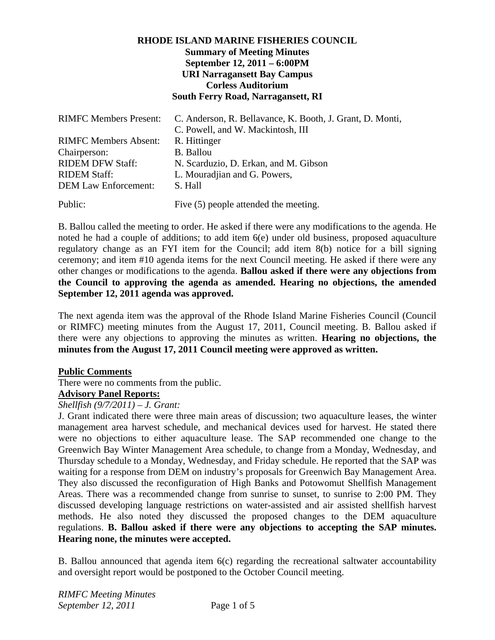# **RHODE ISLAND MARINE FISHERIES COUNCIL Summary of Meeting Minutes September 12, 2011 – 6:00PM URI Narragansett Bay Campus Corless Auditorium South Ferry Road, Narragansett, RI**

| <b>RIMFC Members Present:</b> | C. Anderson, R. Bellavance, K. Booth, J. Grant, D. Monti, |
|-------------------------------|-----------------------------------------------------------|
|                               | C. Powell, and W. Mackintosh, III                         |
| <b>RIMFC Members Absent:</b>  | R. Hittinger                                              |
| Chairperson:                  | <b>B.</b> Ballou                                          |
| <b>RIDEM DFW Staff:</b>       | N. Scarduzio, D. Erkan, and M. Gibson                     |
| <b>RIDEM Staff:</b>           | L. Mouradjian and G. Powers,                              |
| <b>DEM Law Enforcement:</b>   | S. Hall                                                   |
| Public:                       | Five (5) people attended the meeting.                     |

B. Ballou called the meeting to order. He asked if there were any modifications to the agenda. He noted he had a couple of additions; to add item 6(e) under old business, proposed aquaculture regulatory change as an FYI item for the Council; add item 8(b) notice for a bill signing ceremony; and item #10 agenda items for the next Council meeting. He asked if there were any other changes or modifications to the agenda. **Ballou asked if there were any objections from the Council to approving the agenda as amended. Hearing no objections, the amended September 12, 2011 agenda was approved.**

The next agenda item was the approval of the Rhode Island Marine Fisheries Council (Council or RIMFC) meeting minutes from the August 17, 2011, Council meeting. B. Ballou asked if there were any objections to approving the minutes as written. **Hearing no objections, the minutes from the August 17, 2011 Council meeting were approved as written.**

### **Public Comments**

There were no comments from the public.

# **Advisory Panel Reports:**

### *Shellfish (9/7/2011) – J. Grant:*

J. Grant indicated there were three main areas of discussion; two aquaculture leases, the winter management area harvest schedule, and mechanical devices used for harvest. He stated there were no objections to either aquaculture lease. The SAP recommended one change to the Greenwich Bay Winter Management Area schedule, to change from a Monday, Wednesday, and Thursday schedule to a Monday, Wednesday, and Friday schedule. He reported that the SAP was waiting for a response from DEM on industry's proposals for Greenwich Bay Management Area. They also discussed the reconfiguration of High Banks and Potowomut Shellfish Management Areas. There was a recommended change from sunrise to sunset, to sunrise to 2:00 PM. They discussed developing language restrictions on water-assisted and air assisted shellfish harvest methods. He also noted they discussed the proposed changes to the DEM aquaculture regulations. **B. Ballou asked if there were any objections to accepting the SAP minutes. Hearing none, the minutes were accepted.**

B. Ballou announced that agenda item 6(c) regarding the recreational saltwater accountability and oversight report would be postponed to the October Council meeting.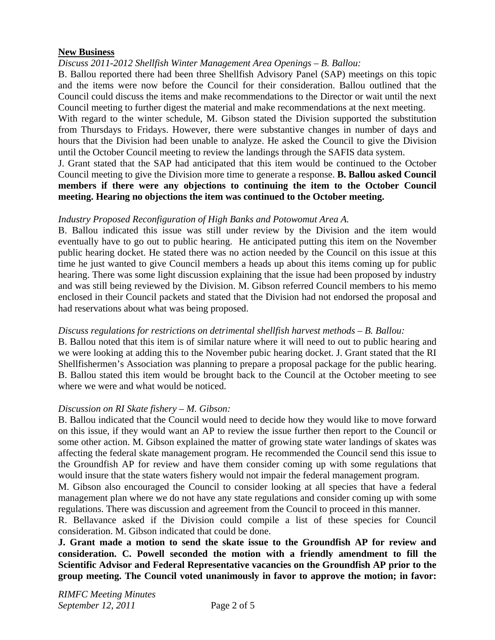### **New Business**

### *Discuss 2011-2012 Shellfish Winter Management Area Openings – B. Ballou:*

B. Ballou reported there had been three Shellfish Advisory Panel (SAP) meetings on this topic and the items were now before the Council for their consideration. Ballou outlined that the Council could discuss the items and make recommendations to the Director or wait until the next Council meeting to further digest the material and make recommendations at the next meeting.

With regard to the winter schedule, M. Gibson stated the Division supported the substitution from Thursdays to Fridays. However, there were substantive changes in number of days and hours that the Division had been unable to analyze. He asked the Council to give the Division until the October Council meeting to review the landings through the SAFIS data system.

J. Grant stated that the SAP had anticipated that this item would be continued to the October Council meeting to give the Division more time to generate a response. **B. Ballou asked Council members if there were any objections to continuing the item to the October Council meeting. Hearing no objections the item was continued to the October meeting.** 

#### *Industry Proposed Reconfiguration of High Banks and Potowomut Area A.*

B. Ballou indicated this issue was still under review by the Division and the item would eventually have to go out to public hearing. He anticipated putting this item on the November public hearing docket. He stated there was no action needed by the Council on this issue at this time he just wanted to give Council members a heads up about this items coming up for public hearing. There was some light discussion explaining that the issue had been proposed by industry and was still being reviewed by the Division. M. Gibson referred Council members to his memo enclosed in their Council packets and stated that the Division had not endorsed the proposal and had reservations about what was being proposed.

### *Discuss regulations for restrictions on detrimental shellfish harvest methods – B. Ballou:*

B. Ballou noted that this item is of similar nature where it will need to out to public hearing and we were looking at adding this to the November pubic hearing docket. J. Grant stated that the RI Shellfishermen's Association was planning to prepare a proposal package for the public hearing. B. Ballou stated this item would be brought back to the Council at the October meeting to see where we were and what would be noticed.

### *Discussion on RI Skate fishery – M. Gibson:*

B. Ballou indicated that the Council would need to decide how they would like to move forward on this issue, if they would want an AP to review the issue further then report to the Council or some other action. M. Gibson explained the matter of growing state water landings of skates was affecting the federal skate management program. He recommended the Council send this issue to the Groundfish AP for review and have them consider coming up with some regulations that would insure that the state waters fishery would not impair the federal management program.

M. Gibson also encouraged the Council to consider looking at all species that have a federal management plan where we do not have any state regulations and consider coming up with some regulations. There was discussion and agreement from the Council to proceed in this manner.

R. Bellavance asked if the Division could compile a list of these species for Council consideration. M. Gibson indicated that could be done.

**J. Grant made a motion to send the skate issue to the Groundfish AP for review and consideration. C. Powell seconded the motion with a friendly amendment to fill the Scientific Advisor and Federal Representative vacancies on the Groundfish AP prior to the group meeting. The Council voted unanimously in favor to approve the motion; in favor:**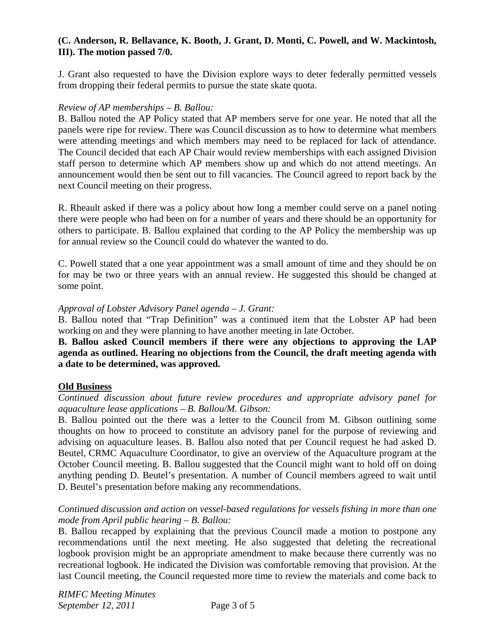# **(C. Anderson, R. Bellavance, K. Booth, J. Grant, D. Monti, C. Powell, and W. Mackintosh, III). The motion passed 7/0.**

J. Grant also requested to have the Division explore ways to deter federally permitted vessels from dropping their federal permits to pursue the state skate quota.

### *Review of AP memberships – B. Ballou:*

B. Ballou noted the AP Policy stated that AP members serve for one year. He noted that all the panels were ripe for review. There was Council discussion as to how to determine what members were attending meetings and which members may need to be replaced for lack of attendance. The Council decided that each AP Chair would review memberships with each assigned Division staff person to determine which AP members show up and which do not attend meetings. An announcement would then be sent out to fill vacancies. The Council agreed to report back by the next Council meeting on their progress.

R. Rheault asked if there was a policy about how long a member could serve on a panel noting there were people who had been on for a number of years and there should be an opportunity for others to participate. B. Ballou explained that cording to the AP Policy the membership was up for annual review so the Council could do whatever the wanted to do.

C. Powell stated that a one year appointment was a small amount of time and they should be on for may be two or three years with an annual review. He suggested this should be changed at some point.

## *Approval of Lobster Advisory Panel agenda – J. Grant:*

B. Ballou noted that "Trap Definition" was a continued item that the Lobster AP had been working on and they were planning to have another meeting in late October.

## **B. Ballou asked Council members if there were any objections to approving the LAP agenda as outlined. Hearing no objections from the Council, the draft meeting agenda with a date to be determined, was approved.**

### **Old Business**

*Continued discussion about future review procedures and appropriate advisory panel for aquaculture lease applications – B. Ballou/M. Gibson:* 

B. Ballou pointed out the there was a letter to the Council from M. Gibson outlining some thoughts on how to proceed to constitute an advisory panel for the purpose of reviewing and advising on aquaculture leases. B. Ballou also noted that per Council request he had asked D. Beutel, CRMC Aquaculture Coordinator, to give an overview of the Aquaculture program at the October Council meeting. B. Ballou suggested that the Council might want to hold off on doing anything pending D. Beutel's presentation. A number of Council members agreed to wait until D. Beutel's presentation before making any recommendations.

## *Continued discussion and action on vessel-based regulations for vessels fishing in more than one mode from April public hearing – B. Ballou:*

B. Ballou recapped by explaining that the previous Council made a motion to postpone any recommendations until the next meeting. He also suggested that deleting the recreational logbook provision might be an appropriate amendment to make because there currently was no recreational logbook. He indicated the Division was comfortable removing that provision. At the last Council meeting, the Council requested more time to review the materials and come back to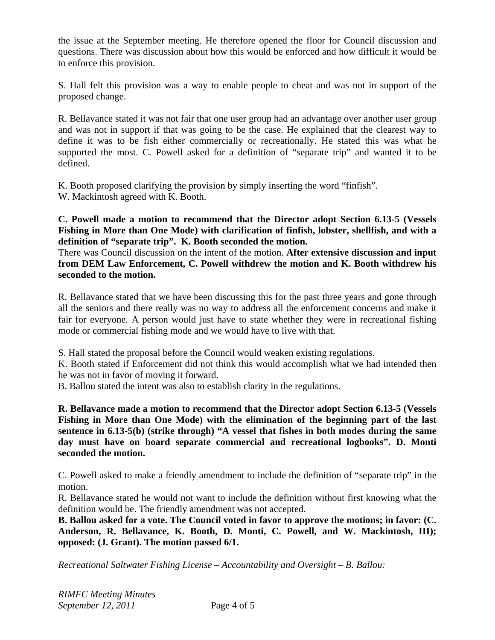the issue at the September meeting. He therefore opened the floor for Council discussion and questions. There was discussion about how this would be enforced and how difficult it would be to enforce this provision.

S. Hall felt this provision was a way to enable people to cheat and was not in support of the proposed change.

R. Bellavance stated it was not fair that one user group had an advantage over another user group and was not in support if that was going to be the case. He explained that the clearest way to define it was to be fish either commercially or recreationally. He stated this was what he supported the most. C. Powell asked for a definition of "separate trip" and wanted it to be defined.

K. Booth proposed clarifying the provision by simply inserting the word "finfish". W. Mackintosh agreed with K. Booth.

**C. Powell made a motion to recommend that the Director adopt Section 6.13-5 (Vessels Fishing in More than One Mode) with clarification of finfish, lobster, shellfish, and with a definition of "separate trip". K. Booth seconded the motion.** 

There was Council discussion on the intent of the motion. **After extensive discussion and input from DEM Law Enforcement, C. Powell withdrew the motion and K. Booth withdrew his seconded to the motion.** 

R. Bellavance stated that we have been discussing this for the past three years and gone through all the seniors and there really was no way to address all the enforcement concerns and make it fair for everyone. A person would just have to state whether they were in recreational fishing mode or commercial fishing mode and we would have to live with that.

S. Hall stated the proposal before the Council would weaken existing regulations.

K. Booth stated if Enforcement did not think this would accomplish what we had intended then he was not in favor of moving it forward.

B. Ballou stated the intent was also to establish clarity in the regulations.

**R. Bellavance made a motion to recommend that the Director adopt Section 6.13-5 (Vessels Fishing in More than One Mode) with the elimination of the beginning part of the last sentence in 6.13-5(b) (strike through) "A vessel that fishes in both modes during the same day must have on board separate commercial and recreational logbooks". D. Monti seconded the motion.**

C. Powell asked to make a friendly amendment to include the definition of "separate trip" in the motion.

R. Bellavance stated he would not want to include the definition without first knowing what the definition would be. The friendly amendment was not accepted.

**B. Ballou asked for a vote. The Council voted in favor to approve the motions; in favor: (C. Anderson, R. Bellavance, K. Booth, D. Monti, C. Powell, and W. Mackintosh, III); opposed: (J. Grant). The motion passed 6/1.** 

*Recreational Saltwater Fishing License – Accountability and Oversight – B. Ballou:*